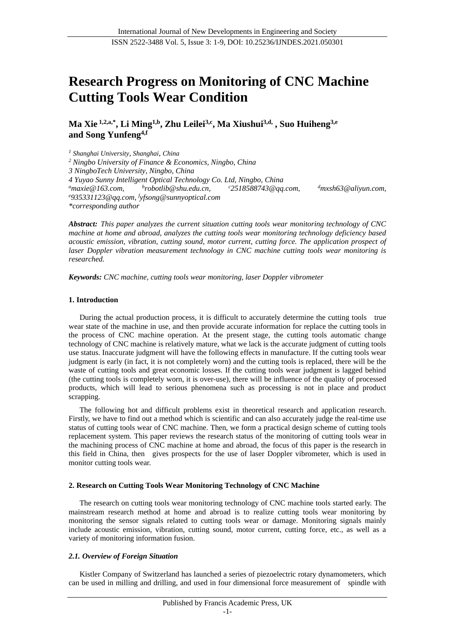# **Research Progress on Monitoring of CNC Machine Cutting Tools Wear Condition**

**Ma Xie 1,2,a,\* , Li Ming1,b , Zhu Leilei3,c , Ma Xiushui3,d, , Suo Huiheng3,e and Song Yunfeng4,f**

*1 Shanghai University, Shanghai, China*

*<sup>2</sup> Ningbo University of Finance & Economics, Ningbo, China*

*3 NingboTech University, Ningbo, China*

*4 Yuyao Sunny Intelligent Optical Technology Co. Ltd, Ningbo, China*

*<sup>a</sup>maxie@163.com, <sup>b</sup> robotlib@shu.edu.cn, <sup>c</sup>[2518588743@qq.com,](mailto:2518588743@qq.com)* 

*<sup>d</sup>[mxsh63@aliyun.com,](mailto:mxsh63@aliyun.com)* 

*<sup>e</sup>[935331123@qq.com,](mailto:935331123@qq.com) f yfsong@sunnyoptical.com \*corresponding author*

*Abstract: This paper analyzes the current situation cutting tools wear monitoring technology of CNC machine at home and abroad, analyzes the cutting tools wear monitoring technology deficiency based acoustic emission, vibration, cutting sound, motor current, cutting force. The application prospect of laser Doppler vibration measurement technology in CNC machine cutting tools wear monitoring is researched.*

*Keywords: CNC machine, cutting tools wear monitoring, laser Doppler vibrometer*

## **1. Introduction**

During the actual production process, it is difficult to accurately determine the cutting tools true wear state of the machine in use, and then provide accurate information for replace the cutting tools in the process of CNC machine operation. At the present stage, the cutting tools automatic change technology of CNC machine is relatively mature, what we lack is the accurate judgment of cutting tools use status. Inaccurate judgment will have the following effects in manufacture. If the cutting tools wear judgment is early (in fact, it is not completely worn) and the cutting tools is replaced, there will be the waste of cutting tools and great economic losses. If the cutting tools wear judgment is lagged behind (the cutting tools is completely worn, it is over-use), there will be influence of the quality of processed products, which will lead to serious phenomena such as processing is not in place and product scrapping.

The following hot and difficult problems exist in theoretical research and application research. Firstly, we have to find out a method which is scientific and can also accurately judge the real-time use status of cutting tools wear of CNC machine. Then, we form a practical design scheme of cutting tools replacement system. This paper reviews the research status of the monitoring of cutting tools wear in the machining process of CNC machine at home and abroad, the focus of this paper is the research in this field in China, then gives prospects for the use of laser Doppler vibrometer, which is used in monitor cutting tools wear.

## **2. Research on Cutting Tools Wear Monitoring Technology of CNC Machine**

The research on cutting tools wear monitoring technology of CNC machine tools started early. The mainstream research method at home and abroad is to realize cutting tools wear monitoring by monitoring the sensor signals related to cutting tools wear or damage. Monitoring signals mainly include acoustic emission, vibration, cutting sound, motor current, cutting force, etc., as well as a variety of monitoring information fusion.

## *2.1. Overview of Foreign Situation*

Kistler Company of Switzerland has launched a series of piezoelectric rotary dynamometers, which can be used in milling and drilling, and used in four dimensional force measurement of spindle with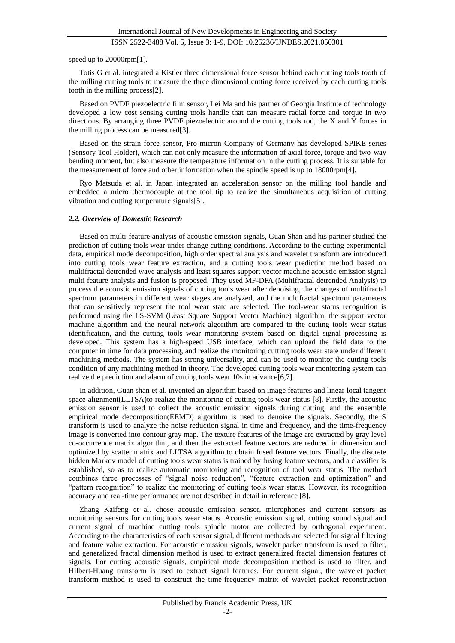#### speed up to 20000rpm[1].

Totis G et al. integrated a Kistler three dimensional force sensor behind each cutting tools tooth of the milling cutting tools to measure the three dimensional cutting force received by each cutting tools tooth in the milling process[2].

Based on PVDF piezoelectric film sensor, Lei Ma and his partner of Georgia Institute of technology developed a low cost sensing cutting tools handle that can measure radial force and torque in two directions. By arranging three PVDF piezoelectric around the cutting tools rod, the X and Y forces in the milling process can be measured[3].

Based on the strain force sensor, Pro-micron Company of Germany has developed SPIKE series (Sensory Tool Holder), which can not only measure the information of axial force, torque and two-way bending moment, but also measure the temperature information in the cutting process. It is suitable for the measurement of force and other information when the spindle speed is up to 18000rpm[4].

Ryo Matsuda et al. in Japan integrated an acceleration sensor on the milling tool handle and embedded a micro thermocouple at the tool tip to realize the simultaneous acquisition of cutting vibration and cutting temperature signals[5].

#### *2.2. Overview of Domestic Research*

Based on multi-feature analysis of acoustic emission signals, Guan Shan and his partner studied the prediction of cutting tools wear under change cutting conditions. According to the cutting experimental data, empirical mode decomposition, high order spectral analysis and wavelet transform are introduced into cutting tools wear feature extraction, and a cutting tools wear prediction method based on multifractal detrended wave analysis and least squares support vector machine acoustic emission signal multi feature analysis and fusion is proposed. They used MF-DFA (Multifractal detrended Analysis) to process the acoustic emission signals of cutting tools wear after denoising, the changes of multifractal spectrum parameters in different wear stages are analyzed, and the multifractal spectrum parameters that can sensitively represent the tool wear state are selected. The tool-wear status recognition is performed using the LS-SVM (Least Square Support Vector Machine) algorithm, the support vector machine algorithm and the neural network algorithm are compared to the cutting tools wear status identification, and the cutting tools wear monitoring system based on digital signal processing is developed. This system has a high-speed USB interface, which can upload the field data to the computer in time for data processing, and realize the monitoring cutting tools wear state under different machining methods. The system has strong universality, and can be used to monitor the cutting tools condition of any machining method in theory. The developed cutting tools wear monitoring system can realize the prediction and alarm of cutting tools wear 10s in advance[6,7].

In addition, Guan shan et al. invented an algorithm based on image features and linear local tangent space alignment(LLTSA)to realize the monitoring of cutting tools wear status [8]. Firstly, the acoustic emission sensor is used to collect the acoustic emission signals during cutting, and the ensemble empirical mode decomposition(EEMD) algorithm is used to denoise the signals. Secondly, the S transform is used to analyze the noise reduction signal in time and frequency, and the time-frequency image is converted into contour gray map. The texture features of the image are extracted by gray level co-occurrence matrix algorithm, and then the extracted feature vectors are reduced in dimension and optimized by scatter matrix and LLTSA algorithm to obtain fused feature vectors. Finally, the discrete hidden Markov model of cutting tools wear status is trained by fusing feature vectors, and a classifier is established, so as to realize automatic monitoring and recognition of tool wear status. The method combines three processes of "signal noise reduction", "feature extraction and optimization" and "pattern recognition" to realize the monitoring of cutting tools wear status. However, its recognition accuracy and real-time performance are not described in detail in reference [8].

Zhang Kaifeng et al. chose acoustic emission sensor, microphones and current sensors as monitoring sensors for cutting tools wear status. Acoustic emission signal, cutting sound signal and current signal of machine cutting tools spindle motor are collected by orthogonal experiment. According to the characteristics of each sensor signal, different methods are selected for signal filtering and feature value extraction. For acoustic emission signals, wavelet packet transform is used to filter, and generalized fractal dimension method is used to extract generalized fractal dimension features of signals. For cutting acoustic signals, empirical mode decomposition method is used to filter, and Hilbert-Huang transform is used to extract signal features. For current signal, the wavelet packet transform method is used to construct the time-frequency matrix of wavelet packet reconstruction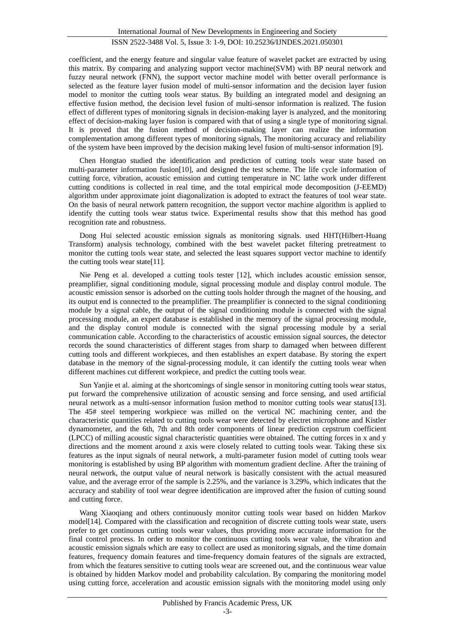coefficient, and the energy feature and singular value feature of wavelet packet are extracted by using this matrix. By comparing and analyzing support vector machine(SVM) with BP neural network and fuzzy neural network (FNN), the support vector machine model with better overall performance is selected as the feature layer fusion model of multi-sensor information and the decision layer fusion model to monitor the cutting tools wear status. By building an integrated model and designing an effective fusion method, the decision level fusion of multi-sensor information is realized. The fusion effect of different types of monitoring signals in decision-making layer is analyzed, and the monitoring effect of decision-making layer fusion is compared with that of using a single type of monitoring signal. It is proved that the fusion method of decision-making layer can realize the information complementation among different types of monitoring signals, The monitoring accuracy and reliability of the system have been improved by the decision making level fusion of multi-sensor information [9].

Chen Hongtao studied the identification and prediction of cutting tools wear state based on multi-parameter information fusion[10], and designed the test scheme. The life cycle information of cutting force, vibration, acoustic emission and cutting temperature in NC lathe work under different cutting conditions is collected in real time, and the total empirical mode decomposition (J-EEMD) algorithm under approximate joint diagonalization is adopted to extract the features of tool wear state. On the basis of neural network pattern recognition, the support vector machine algorithm is applied to identify the cutting tools wear status twice. Experimental results show that this method has good recognition rate and robustness.

Dong Hui selected acoustic emission signals as monitoring signals. used HHT(Hilbert-Huang Transform) analysis technology, combined with the best wavelet packet filtering pretreatment to monitor the cutting tools wear state, and selected the least squares support vector machine to identify the cutting tools wear state[11].

Nie Peng et al. developed a cutting tools tester [12], which includes acoustic emission sensor, preamplifier, signal conditioning module, signal processing module and display control module. The acoustic emission sensor is adsorbed on the cutting tools holder through the magnet of the housing, and its output end is connected to the preamplifier. The preamplifier is connected to the signal conditioning module by a signal cable, the output of the signal conditioning module is connected with the signal processing module, an expert database is established in the memory of the signal processing module, and the display control module is connected with the signal processing module by a serial communication cable. According to the characteristics of acoustic emission signal sources, the detector records the sound characteristics of different stages from sharp to damaged when between different cutting tools and different workpieces, and then establishes an expert database. By storing the expert database in the memory of the signal-processing module, it can identify the cutting tools wear when different machines cut different workpiece, and predict the cutting tools wear.

Sun Yanjie et al. aiming at the shortcomings of single sensor in monitoring cutting tools wear status, put forward the comprehensive utilization of acoustic sensing and force sensing, and used artificial neural network as a multi-sensor information fusion method to monitor cutting tools wear status[13]. The 45# steel tempering workpiece was milled on the vertical NC machining center, and the characteristic quantities related to cutting tools wear were detected by electret microphone and Kistler dynamometer, and the 6th, 7th and 8th order components of linear prediction cepstrum coefficient (LPCC) of milling acoustic signal characteristic quantities were obtained. The cutting forces in x and y directions and the moment around z axis were closely related to cutting tools wear. Taking these six features as the input signals of neural network, a multi-parameter fusion model of cutting tools wear monitoring is established by using BP algorithm with momentum gradient decline. After the training of neural network, the output value of neural network is basically consistent with the actual measured value, and the average error of the sample is 2.25%, and the variance is 3.29%, which indicates that the accuracy and stability of tool wear degree identification are improved after the fusion of cutting sound and cutting force.

Wang Xiaoqiang and others continuously monitor cutting tools wear based on hidden Markov model[14]. Compared with the classification and recognition of discrete cutting tools wear state, users prefer to get continuous cutting tools wear values, thus providing more accurate information for the final control process. In order to monitor the continuous cutting tools wear value, the vibration and acoustic emission signals which are easy to collect are used as monitoring signals, and the time domain features, frequency domain features and time-frequency domain features of the signals are extracted, from which the features sensitive to cutting tools wear are screened out, and the continuous wear value is obtained by hidden Markov model and probability calculation. By comparing the monitoring model using cutting force, acceleration and acoustic emission signals with the monitoring model using only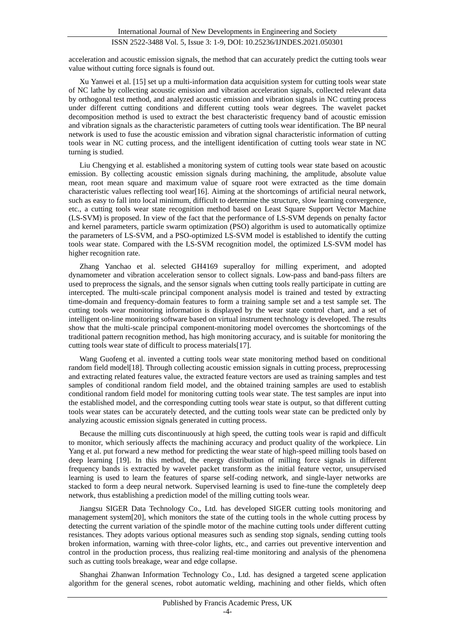acceleration and acoustic emission signals, the method that can accurately predict the cutting tools wear value without cutting force signals is found out.

Xu Yanwei et al. [15] set up a multi-information data acquisition system for cutting tools wear state of NC lathe by collecting acoustic emission and vibration acceleration signals, collected relevant data by orthogonal test method, and analyzed acoustic emission and vibration signals in NC cutting process under different cutting conditions and different cutting tools wear degrees. The wavelet packet decomposition method is used to extract the best characteristic frequency band of acoustic emission and vibration signals as the characteristic parameters of cutting tools wear identification. The BP neural network is used to fuse the acoustic emission and vibration signal characteristic information of cutting tools wear in NC cutting process, and the intelligent identification of cutting tools wear state in NC turning is studied.

Liu Chengying et al. established a monitoring system of cutting tools wear state based on acoustic emission. By collecting acoustic emission signals during machining, the amplitude, absolute value mean, root mean square and maximum value of square root were extracted as the time domain characteristic values reflecting tool wear[16]. Aiming at the shortcomings of artificial neural network, such as easy to fall into local minimum, difficult to determine the structure, slow learning convergence, etc., a cutting tools wear state recognition method based on Least Square Support Vector Machine (LS-SVM) is proposed. In view of the fact that the performance of LS-SVM depends on penalty factor and kernel parameters, particle swarm optimization (PSO) algorithm is used to automatically optimize the parameters of LS-SVM, and a PSO-optimized LS-SVM model is established to identify the cutting tools wear state. Compared with the LS-SVM recognition model, the optimized LS-SVM model has higher recognition rate.

Zhang Yanchao et al. selected GH4169 superalloy for milling experiment, and adopted dynamometer and vibration acceleration sensor to collect signals. Low-pass and band-pass filters are used to preprocess the signals, and the sensor signals when cutting tools really participate in cutting are intercepted. The multi-scale principal component analysis model is trained and tested by extracting time-domain and frequency-domain features to form a training sample set and a test sample set. The cutting tools wear monitoring information is displayed by the wear state control chart, and a set of intelligent on-line monitoring software based on virtual instrument technology is developed. The results show that the multi-scale principal component-monitoring model overcomes the shortcomings of the traditional pattern recognition method, has high monitoring accuracy, and is suitable for monitoring the cutting tools wear state of difficult to process materials[17].

Wang Guofeng et al. invented a cutting tools wear state monitoring method based on conditional random field model[18]. Through collecting acoustic emission signals in cutting process, preprocessing and extracting related features value, the extracted feature vectors are used as training samples and test samples of conditional random field model, and the obtained training samples are used to establish conditional random field model for monitoring cutting tools wear state. The test samples are input into the established model, and the corresponding cutting tools wear state is output, so that different cutting tools wear states can be accurately detected, and the cutting tools wear state can be predicted only by analyzing acoustic emission signals generated in cutting process.

Because the milling cuts discontinuously at high speed, the cutting tools wear is rapid and difficult to monitor, which seriously affects the machining accuracy and product quality of the workpiece. Lin Yang et al. put forward a new method for predicting the wear state of high-speed milling tools based on deep learning [19]. In this method, the energy distribution of milling force signals in different frequency bands is extracted by wavelet packet transform as the initial feature vector, unsupervised learning is used to learn the features of sparse self-coding network, and single-layer networks are stacked to form a deep neural network. Supervised learning is used to fine-tune the completely deep network, thus establishing a prediction model of the milling cutting tools wear.

Jiangsu SIGER Data Technology Co., Ltd. has developed SIGER cutting tools monitoring and management system[20], which monitors the state of the cutting tools in the whole cutting process by detecting the current variation of the spindle motor of the machine cutting tools under different cutting resistances. They adopts various optional measures such as sending stop signals, sending cutting tools broken information, warning with three-color lights, etc., and carries out preventive intervention and control in the production process, thus realizing real-time monitoring and analysis of the phenomena such as cutting tools breakage, wear and edge collapse.

Shanghai Zhanwan Information Technology Co., Ltd. has designed a targeted scene application algorithm for the general scenes, robot automatic welding, machining and other fields, which often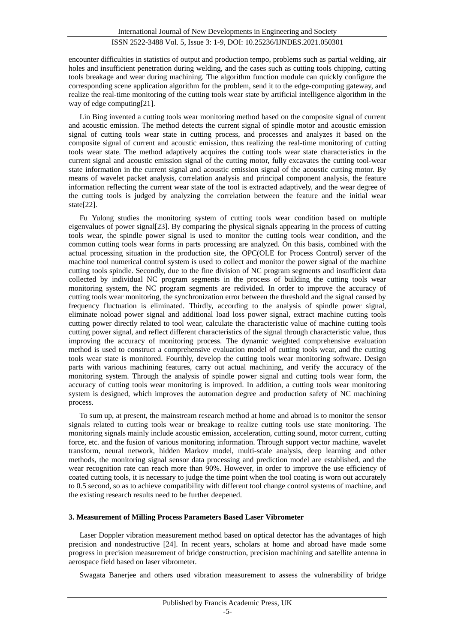encounter difficulties in statistics of output and production tempo, problems such as partial welding, air holes and insufficient penetration during welding, and the cases such as cutting tools chipping, cutting tools breakage and wear during machining. The algorithm function module can quickly configure the corresponding scene application algorithm for the problem, send it to the edge-computing gateway, and realize the real-time monitoring of the cutting tools wear state by artificial intelligence algorithm in the way of edge computing[21].

Lin Bing invented a cutting tools wear monitoring method based on the composite signal of current and acoustic emission. The method detects the current signal of spindle motor and acoustic emission signal of cutting tools wear state in cutting process, and processes and analyzes it based on the composite signal of current and acoustic emission, thus realizing the real-time monitoring of cutting tools wear state. The method adaptively acquires the cutting tools wear state characteristics in the current signal and acoustic emission signal of the cutting motor, fully excavates the cutting tool-wear state information in the current signal and acoustic emission signal of the acoustic cutting motor. By means of wavelet packet analysis, correlation analysis and principal component analysis, the feature information reflecting the current wear state of the tool is extracted adaptively, and the wear degree of the cutting tools is judged by analyzing the correlation between the feature and the initial wear state[22].

Fu Yulong studies the monitoring system of cutting tools wear condition based on multiple eigenvalues of power signal[23]. By comparing the physical signals appearing in the process of cutting tools wear, the spindle power signal is used to monitor the cutting tools wear condition, and the common cutting tools wear forms in parts processing are analyzed. On this basis, combined with the actual processing situation in the production site, the OPC(OLE for Process Control) server of the machine tool numerical control system is used to collect and monitor the power signal of the machine cutting tools spindle. Secondly, due to the fine division of NC program segments and insufficient data collected by individual NC program segments in the process of building the cutting tools wear monitoring system, the NC program segments are redivided. In order to improve the accuracy of cutting tools wear monitoring, the synchronization error between the threshold and the signal caused by frequency fluctuation is eliminated. Thirdly, according to the analysis of spindle power signal, eliminate noload power signal and additional load loss power signal, extract machine cutting tools cutting power directly related to tool wear, calculate the characteristic value of machine cutting tools cutting power signal, and reflect different characteristics of the signal through characteristic value, thus improving the accuracy of monitoring process. The dynamic weighted comprehensive evaluation method is used to construct a comprehensive evaluation model of cutting tools wear, and the cutting tools wear state is monitored. Fourthly, develop the cutting tools wear monitoring software. Design parts with various machining features, carry out actual machining, and verify the accuracy of the monitoring system. Through the analysis of spindle power signal and cutting tools wear form, the accuracy of cutting tools wear monitoring is improved. In addition, a cutting tools wear monitoring system is designed, which improves the automation degree and production safety of NC machining process.

To sum up, at present, the mainstream research method at home and abroad is to monitor the sensor signals related to cutting tools wear or breakage to realize cutting tools use state monitoring. The monitoring signals mainly include acoustic emission, acceleration, cutting sound, motor current, cutting force, etc. and the fusion of various monitoring information. Through support vector machine, wavelet transform, neural network, hidden Markov model, multi-scale analysis, deep learning and other methods, the monitoring signal sensor data processing and prediction model are established, and the wear recognition rate can reach more than 90%. However, in order to improve the use efficiency of coated cutting tools, it is necessary to judge the time point when the tool coating is worn out accurately to 0.5 second, so as to achieve compatibility with different tool change control systems of machine, and the existing research results need to be further deepened.

#### **3. Measurement of Milling Process Parameters Based Laser Vibrometer**

Laser Doppler vibration measurement method based on optical detector has the advantages of high precision and nondestructive [24]. In recent years, scholars at home and abroad have made some progress in precision measurement of bridge construction, precision machining and satellite antenna in aerospace field based on laser vibrometer.

Swagata Banerjee and others used vibration measurement to assess the vulnerability of bridge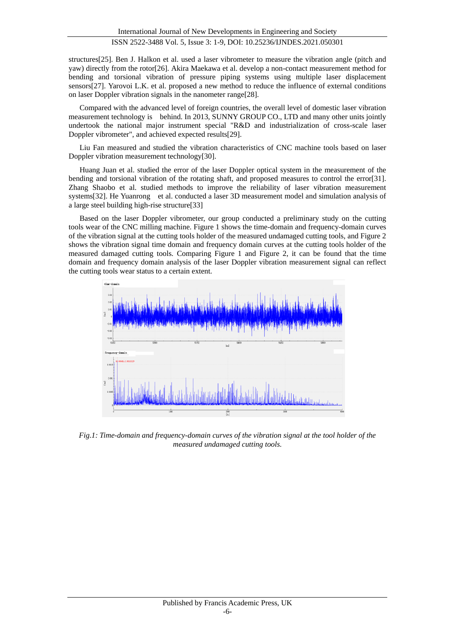structures[25]. Ben J. Halkon et al. used a laser vibrometer to measure the vibration angle (pitch and yaw) directly from the rotor[26]. Akira Maekawa et al. develop a non-contact measurement method for bending and torsional vibration of pressure piping systems using multiple laser displacement sensors[27]. Yarovoi L.K. et al. proposed a new method to reduce the influence of external conditions on laser Doppler vibration signals in the nanometer range[28].

Compared with the advanced level of foreign countries, the overall level of domestic laser vibration measurement technology is behind. In 2013, SUNNY GROUP CO., LTD and many other units jointly undertook the national major instrument special "R&D and industrialization of cross-scale laser Doppler vibrometer", and achieved expected results[29].

Liu Fan measured and studied the vibration characteristics of CNC machine tools based on laser Doppler vibration measurement technology[30].

Huang Juan et al. studied the error of the laser Doppler optical system in the measurement of the bending and torsional vibration of the rotating shaft, and proposed measures to control the error[31]. Zhang Shaobo et al. studied methods to improve the reliability of laser vibration measurement systems[32]. He Yuanrong et al. conducted a laser 3D measurement model and simulation analysis of a large steel building high-rise structure[33]

Based on the laser Doppler vibrometer, our group conducted a preliminary study on the cutting tools wear of the CNC milling machine. Figure 1 shows the time-domain and frequency-domain curves of the vibration signal at the cutting tools holder of the measured undamaged cutting tools, and Figure 2 shows the vibration signal time domain and frequency domain curves at the cutting tools holder of the measured damaged cutting tools. Comparing Figure 1 and Figure 2, it can be found that the time domain and frequency domain analysis of the laser Doppler vibration measurement signal can reflect the cutting tools wear status to a certain extent.



*Fig.1: Time-domain and frequency-domain curves of the vibration signal at the tool holder of the measured undamaged cutting tools.*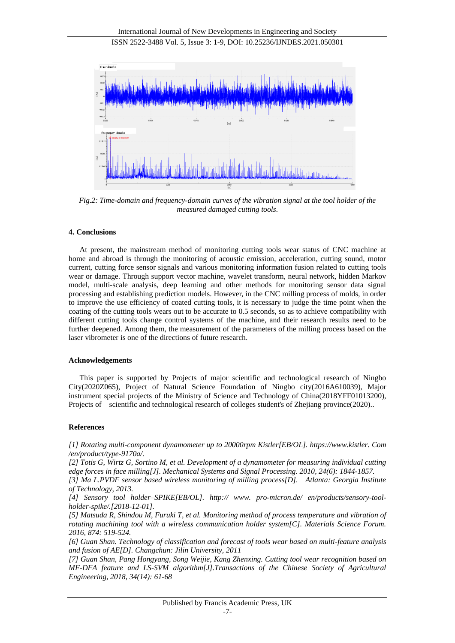

*Fig.2: Time-domain and frequency-domain curves of the vibration signal at the tool holder of the measured damaged cutting tools.*

## **4. Conclusions**

At present, the mainstream method of monitoring cutting tools wear status of CNC machine at home and abroad is through the monitoring of acoustic emission, acceleration, cutting sound, motor current, cutting force sensor signals and various monitoring information fusion related to cutting tools wear or damage. Through support vector machine, wavelet transform, neural network, hidden Markov model, multi-scale analysis, deep learning and other methods for monitoring sensor data signal processing and establishing prediction models. However, in the CNC milling process of molds, in order to improve the use efficiency of coated cutting tools, it is necessary to judge the time point when the coating of the cutting tools wears out to be accurate to 0.5 seconds, so as to achieve compatibility with different cutting tools change control systems of the machine, and their research results need to be further deepened. Among them, the measurement of the parameters of the milling process based on the laser vibrometer is one of the directions of future research.

## **Acknowledgements**

This paper is supported by Projects of major scientific and technological research of Ningbo City(2020Z065), Project of Natural Science Foundation of Ningbo city(2016A610039), Major instrument special projects of the Ministry of Science and Technology of China(2018YFF01013200), Projects of scientific and technological research of colleges student's of Zhejiang province(2020)..

## **References**

*[1] Rotating multi-component dynamometer up to 20000rpm Kistler[EB/OL]. https://www.kistler. Com /en/product/type-9170a/.*

*[2] Totis G, Wirtz G, Sortino M, et al. Development of a dynamometer for measuring individual cutting edge forces in face milling[J]. Mechanical Systems and Signal Processing. 2010, 24(6): 1844-1857.*

*[3] Ma L.PVDF sensor based wireless monitoring of milling process[D]. Atlanta: Georgia Institute of Technology, 2013.*

*[4] Sensory tool holder–SPIKE[EB/OL]. http:// www. pro-micron.de/ en/products/sensory-toolholder-spike/.[2018-12-01].*

*[5] Matsuda R, Shindou M, Furuki T, et al. Monitoring method of process temperature and vibration of rotating machining tool with a wireless communication holder system[C]. Materials Science Forum. 2016, 874: 519-524.*

*[6] Guan Shan. Technology of classification and forecast of tools wear based on multi-feature analysis and fusion of AE[D]. Changchun: Jilin University, 2011*

*[7] Guan Shan, Pang Hongyang, Song Weijie, Kang Zhenxing. Cutting tool wear recognition based on MF-DFA feature and LS-SVM algorithm[J].Transactions of the Chinese Society of Agricultural Engineering, 2018, 34(14): 61-68*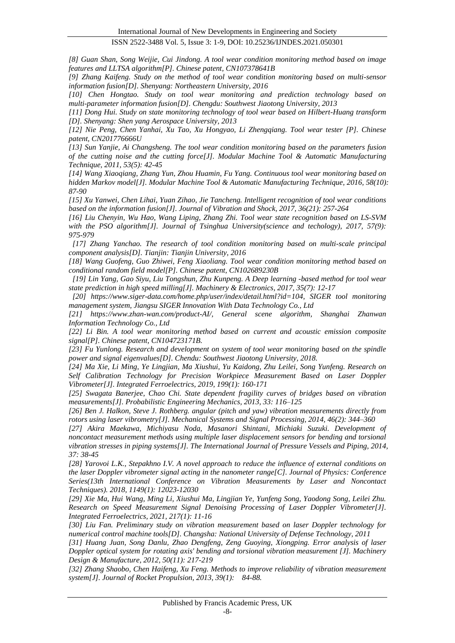*[8] Guan Shan, Song Weijie, Cui Jindong. A tool wear condition monitoring method based on image features and LLTSA algorithm[P]. Chinese patent, CN107378641B*

*[9] Zhang Kaifeng. Study on the method of tool wear condition monitoring based on multi-sensor information fusion[D]. Shenyang: Northeastern University, 2016*

*[10] Chen Hongtao. Study on tool wear monitoring and prediction technology based on multi-parameter information fusion[D]. Chengdu: Southwest Jiaotong University, 2013*

*[11] Dong Hui. Study on state monitoring technology of tool wear based on Hilbert-Huang transform [D]. Shenyang: Shen yang Aerospace University, 2013*

*[12] Nie Peng, Chen Yanhai, Xu Tao, Xu Hongyao, Li Zhengqiang. Tool wear tester [P]. Chinese patent, CN201776666U*

*[13] Sun Yanjie, Ai Changsheng. The tool wear condition monitoring based on the parameters fusion of the cutting noise and the cutting force[J]. Modular Machine Tool & Automatic Manufacturing Technique, 2011, 53(5): 42-45*

*[14] Wang Xiaoqiang, Zhang Yun, Zhou Huamin, Fu Yang. Continuous tool wear monitoring based on hidden Markov model[J]. Modular Machine Tool & Automatic Manufacturing Technique, 2016, 58(10): 87-90*

*[15] Xu Yanwei, Chen Lihai, Yuan Zihao, Jie Tancheng. Intelligent recognition of tool wear conditions based on the information fusion[J]. Journal of Vibration and Shock, 2017, 36(21): 257-264*

*[16] Liu Chenyin, Wu Hao, Wang Liping, Zhang Zhi. Tool wear state recognition based on LS-SVM with the PSO algorithm[J]. Journal of Tsinghua University(science and techology), 2017, 57(9): 975-979*

*[17] Zhang Yanchao. The research of tool condition monitoring based on multi-scale principal component analysis[D]. Tianjin: Tianjin University, 2016*

*[18] Wang Guofeng, Guo Zhiwei, Feng Xiaoliang. Tool wear condition monitoring method based on conditional random field model[P]. Chinese patent, CN102689230B*

*[19] Lin Yang, Gao Siyu, Liu Tongshun, Zhu Kunpeng. A Deep learning -based method for tool wear state prediction in high speed milling[J]. Machinery & Electronics, 2017, 35(7): 12-17*

*[20] https://www.siger-data.com/home.php/user/index/detail.html?id=104, SIGER tool monitoring management system, Jiangsu SIGER Innovation With Data Technology Co., Ltd*

*[21] https://www.zhan-wan.com/product-AI/, General scene algorithm, Shanghai Zhanwan Information Technology Co., Ltd*

*[22] Li Bin. A tool wear monitoring method based on current and acoustic emission composite signal[P]. Chinese patent, CN104723171B.*

*[23] Fu Yunlong. Research and development on system of tool wear monitoring based on the spindle power and signal eigenvalues[D]. Chendu: Southwest Jiaotong University, 2018.*

*[24] Ma Xie, Li Ming, Ye Lingjian, Ma Xiushui, Yu Kaidong, Zhu Leilei, Song Yunfeng. Research on Self Calibration Technology for Precision Workpiece Measurement Based on Laser Doppler Vibrometer[J]. Integrated Ferroelectrics, 2019, 199(1): 160-171*

*[25] Swagata Banerjee, Chao Chi. State dependent fragility curves of bridges based on vibration measurements[J]. Probabilistic Engineering Mechanics, 2013, 33: 116–125*

*[26] Ben J. Halkon, Steve J. Rothberg. angular (pitch and yaw) vibration measurements directly from rotors using laser vibrometry[J]. Mechanical Systems and Signal Processing, 2014, 46(2): 344–360*

*[27] Akira Maekawa, Michiyasu Noda, Masanori Shintani, Michiaki Suzuki. Development of noncontact measurement methods using multiple laser displacement sensors for bending and torsional vibration stresses in piping systems[J]. The International Journal of Pressure Vessels and Piping, 2014, 37: 38-45*

*[28] Yarovoi L.K., Stepakhno I.V. A novel approach to reduce the influence of external conditions on the laser Doppler vibrometer signal acting in the nanometer range[C]. Journal of Physics: Conference Series(13th International Conference on Vibration Measurements by Laser and Noncontact Techniques). 2018, 1149(1): 12023-12030*

*[29] Xie Ma, Hui Wang, Ming Li, Xiushui Ma, Lingjian Ye, Yunfeng Song, Yaodong Song, Leilei Zhu. Research on Speed Measurement Signal Denoising Processing of Laser Doppler Vibrometer[J]. Integrated Ferroelectrics, 2021, 217(1): 11-16*

*[30] Liu Fan. Preliminary study on vibration measurement based on laser Doppler technology for numerical control machine tools[D]. Changsha: National University of Defense Technology, 2011*

*[31] Huang Juan, Song Danlu, Zhao Dengfeng, Zeng Guoying, Xiongping. Error analysis of laser Doppler optical system for rotating axis' bending and torsional vibration measurement [J]. Machinery Design & Manufacture, 2012, 50(11): 217-219*

*[32] Zhang Shaobo, Chen Haifeng, Xu Feng. Methods to improve reliability of vibration measurement system[J]. Journal of Rocket Propulsion, 2013, 39(1): 84-88.*